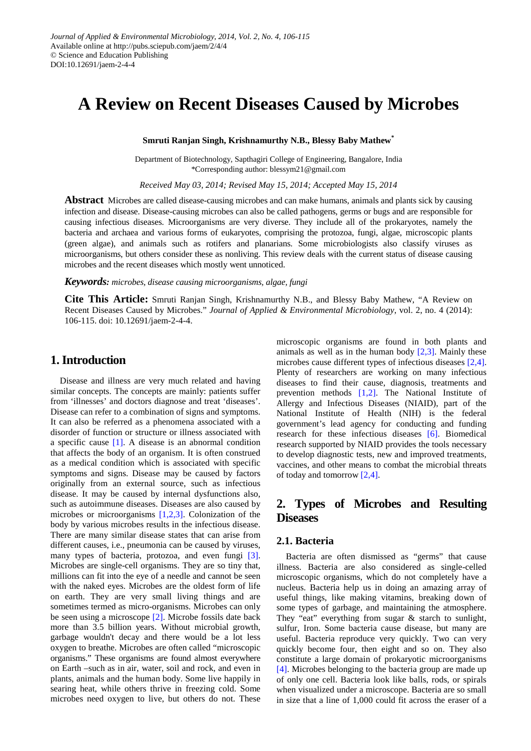# **A Review on Recent Diseases Caused by Microbes**

**Smruti Ranjan Singh, Krishnamurthy N.B., Blessy Baby Mathew\***

Department of Biotechnology, Sapthagiri College of Engineering, Bangalore, India \*Corresponding author: blessym21@gmail.com

*Received May 03, 2014; Revised May 15, 2014; Accepted May 15, 2014*

**Abstract** Microbes are called disease-causing microbes and can make humans, animals and plants sick by causing infection and disease. Disease-causing microbes can also be called pathogens, germs or bugs and are responsible for causing infectious diseases. Microorganisms are very diverse. They include all of the prokaryotes, namely the bacteria and archaea and various forms of eukaryotes, comprising the protozoa, fungi, algae, microscopic plants (green algae), and animals such as rotifers and planarians. Some microbiologists also classify viruses as microorganisms, but others consider these as nonliving. This review deals with the current status of disease causing microbes and the recent diseases which mostly went unnoticed.

*Keywords: microbes, disease causing microorganisms, algae, fungi*

**Cite This Article:** Smruti Ranjan Singh, Krishnamurthy N.B., and Blessy Baby Mathew, "A Review on Recent Diseases Caused by Microbes." *Journal of Applied & Environmental Microbiology*, vol. 2, no. 4 (2014): 106-115. doi: 10.12691/jaem-2-4-4.

# **1. Introduction**

Disease and illness are very much related and having similar concepts. The concepts are mainly: patients suffer from 'illnesses' and doctors diagnose and treat 'diseases'. Disease can refer to a combination of signs and symptoms. It can also be referred as a phenomena associated with a disorder of function or structure or illness associated with a specific cause [\[1\].](#page-8-0) A disease is an abnormal condition that affects the body of an organism. It is often construed as a medical condition which is associated with specific symptoms and signs. Disease may be caused by factors originally from an external source, such as infectious disease. It may be caused by internal dysfunctions also, such as autoimmune diseases. Diseases are also caused by microbes or microorganisms [\[1,2,3\].](#page-8-0) Colonization of the body by various microbes results in the infectious disease. There are many similar disease states that can arise from different causes, i.e., pneumonia can be caused by viruses, many types of bacteria, protozoa, and even fungi [\[3\].](#page-8-1) Microbes are single-cell organisms. They are so tiny that, millions can fit into the eye of a needle and cannot be seen with the naked eyes. Microbes are the oldest form of life on earth. They are very small living things and are sometimes termed as micro-organisms. Microbes can only be seen using a microscope [\[2\].](#page-8-2) Microbe fossils date back more than 3.5 billion years. Without microbial growth, garbage wouldn't decay and there would be a lot less oxygen to breathe. Microbes are often called "microscopic organisms." These organisms are found almost everywhere on Earth –such as in air, water, soil and rock, and even in plants, animals and the human body. Some live happily in searing heat, while others thrive in freezing cold. Some microbes need oxygen to live, but others do not. These microscopic organisms are found in both plants and animals as well as in the human body  $[2,3]$ . Mainly these microbes cause different types of infectious diseases [\[2,4\].](#page-8-2) Plenty of researchers are working on many infectious diseases to find their cause, diagnosis, treatments and prevention methods [\[1,2\].](#page-8-0) The National Institute of Allergy and Infectious Diseases (NIAID), part of the National Institute of Health (NIH) is the federal government's lead agency for conducting and funding research for these infectious diseases [\[6\].](#page-8-3) Biomedical research supported by NIAID provides the tools necessary to develop diagnostic tests, new and improved treatments, vaccines, and other means to combat the microbial threats of today and tomorro[w \[2,4\].](#page-8-2)

# **2. Types of Microbes and Resulting Diseases**

# **2.1. Bacteria**

Bacteria are often dismissed as "germs" that cause illness. Bacteria are also considered as single-celled microscopic organisms, which do not completely have a nucleus. Bacteria help us in doing an amazing array of useful things, like making vitamins, breaking down of some types of garbage, and maintaining the atmosphere. They "eat" everything from sugar & starch to sunlight, sulfur, Iron. Some bacteria cause disease, but many are useful. Bacteria reproduce very quickly. Two can very quickly become four, then eight and so on. They also constitute a large domain of prokaryotic microorganisms [\[4\].](#page-8-4) Microbes belonging to the bacteria group are made up of only one cell. Bacteria look like balls, rods, or spirals when visualized under a microscope. Bacteria are so small in size that a line of 1,000 could fit across the eraser of a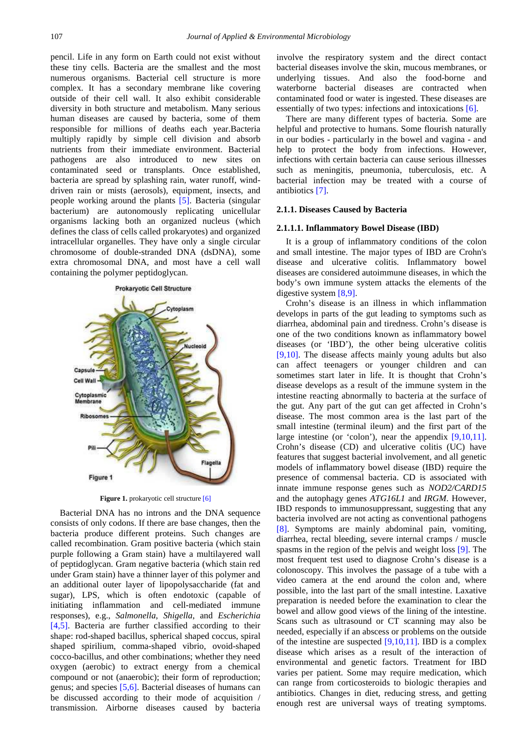pencil. Life in any form on Earth could not exist without these tiny cells. Bacteria are the smallest and the most numerous organisms. Bacterial cell structure is more complex. It has a secondary membrane like covering outside of their cell wall. It also exhibit considerable diversity in both structure and metabolism. Many serious human diseases are caused by bacteria, some of them responsible for millions of deaths each year.Bacteria multiply rapidly by simple cell division and absorb nutrients from their immediate environment. Bacterial pathogens are also introduced to new sites on contaminated seed or transplants. Once established, bacteria are spread by splashing rain, water runoff, winddriven rain or mists (aerosols), equipment, insects, and people working around the plants [\[5\].](#page-8-5) Bacteria (singular bacterium) are autonomously replicating unicellular organisms lacking both an organized nucleus (which defines the class of cells called prokaryotes) and organized intracellular organelles. They have only a single circular chromosome of double-stranded DNA (dsDNA), some extra chromosomal DNA, and most have a cell wall containing the polymer peptidoglycan.

Prokaryotic Cell Structure



**Figure 1.** prokaryotic cell structure [\[6\]](#page-8-3)

Bacterial DNA has no introns and the DNA sequence consists of only codons. If there are base changes, then the bacteria produce different proteins. Such changes are called recombination. Gram positive bacteria (which stain purple following a Gram stain) have a multilayered wall of peptidoglycan. Gram negative bacteria (which stain red under Gram stain) have a thinner layer of this polymer and an additional outer layer of lipopolysaccharide (fat and sugar), LPS, which is often endotoxic (capable of initiating inflammation and cell-mediated immune responses), e.g., *Salmonella*, *Shigella*, and *Escherichia* [\[4,5\].](#page-8-4) Bacteria are further classified according to their shape: rod-shaped bacillus, spherical shaped coccus, spiral shaped spirilium, comma-shaped vibrio, ovoid-shaped cocco-bacillus, and other combinations; whether they need oxygen (aerobic) to extract energy from a chemical compound or not (anaerobic); their form of reproduction; genus; and species [\[5,6\].](#page-8-5) Bacterial diseases of humans can be discussed according to their mode of acquisition / transmission. Airborne diseases caused by bacteria involve the respiratory system and the direct contact bacterial diseases involve the skin, mucous membranes, or underlying tissues. And also the food-borne and waterborne bacterial diseases are contracted when contaminated food or water is ingested. These diseases are essentially of two types: infections and intoxications [\[6\].](#page-8-3)

There are many different types of bacteria. Some are helpful and protective to humans. Some flourish naturally in our bodies - particularly in the bowel and vagina - and help to protect the body from infections. However, infections with certain bacteria can cause serious illnesses such as meningitis, pneumonia, tuberculosis, etc. A bacterial infection may be treated with a course of antibiotics [\[7\].](#page-8-6)

#### **2.1.1. Diseases Caused by Bacteria**

#### **2.1.1.1. Inflammatory Bowel Disease (IBD)**

It is a group of inflammatory conditions of the colon and small intestine. The major types of IBD are Crohn's disease and ulcerative colitis. Inflammatory bowel diseases are considered autoimmune diseases, in which the body's own immune system attacks the elements of the digestive system [\[8,9\].](#page-8-7)

Crohn's disease is an illness in which inflammation develops in parts of the gut leading to symptoms such as diarrhea, abdominal pain and tiredness. Crohn's disease is one of the two conditions known as inflammatory bowel diseases (or 'IBD'), the other being ulcerative colitis [\[9,10\].](#page-8-8) The disease affects mainly young adults but also can affect teenagers or younger children and can sometimes start later in life. It is thought that Crohn's disease develops as a result of the immune system in the intestine reacting abnormally to bacteria at the surface of the gut. Any part of the gut can get affected in Crohn's disease. The most common area is the last part of the small intestine (terminal ileum) and the first part of the large intestine (or 'colon'), near the appendix [\[9,10,11\].](#page-8-8) Crohn's disease (CD) and ulcerative colitis (UC) have features that suggest bacterial involvement, and all genetic models of inflammatory bowel disease (IBD) require the presence of commensal bacteria. CD is associated with innate immune response genes such as *NOD2/CARD15*  and the autophagy genes *ATG16L1* and *IRGM*. However, IBD responds to immunosuppressant, suggesting that any bacteria involved are not acting as conventional pathogens [\[8\].](#page-8-7) Symptoms are mainly abdominal pain, vomiting, diarrhea, rectal bleeding, severe internal cramps / muscle spasms in the region of the pelvis and weight loss [\[9\].](#page-8-8) The most frequent test used to diagnose Crohn's disease is a colonoscopy. This involves the passage of a tube with a video camera at the end around the colon and, where possible, into the last part of the small intestine. Laxative preparation is needed before the examination to clear the bowel and allow good views of the lining of the intestine. Scans such as ultrasound or CT scanning may also be needed, especially if an abscess or problems on the outside of the intestine are suspected  $[9,10,11]$ . IBD is a complex disease which arises as a result of the interaction of environmental and genetic factors. Treatment for IBD varies per patient. Some may require medication, which can range from corticosteroids to biologic therapies and antibiotics. Changes in diet, reducing stress, and getting enough rest are universal ways of treating symptoms.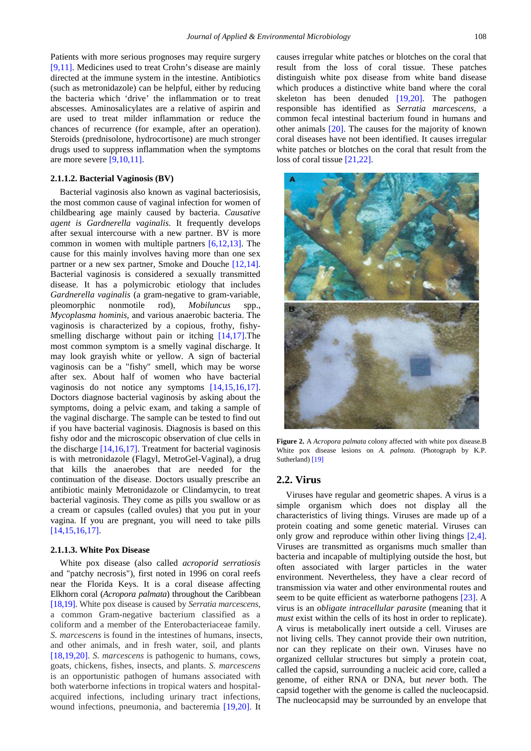Patients with more serious prognoses may require surgery [\[9,11\].](#page-8-8) Medicines used to treat Crohn's disease are mainly directed at the immune system in the intestine. Antibiotics (such as metronidazole) can be helpful, either by reducing the bacteria which 'drive' the inflammation or to treat abscesses. Aminosalicylates are a relative of aspirin and are used to treat milder inflammation or reduce the chances of recurrence (for example, after an operation). Steroids (prednisolone, hydrocortisone) are much stronger drugs used to suppress inflammation when the symptoms are more severe  $[9,10,11]$ .

#### **2.1.1.2. Bacterial Vaginosis (BV)**

Bacterial vaginosis also known as vaginal bacteriosisis, the most common cause of vaginal infection for women of childbearing age mainly caused by bacteria. *Causative agent is Gardnerella vaginalis*. It frequently develops after sexual intercourse with a new partner. BV is more common in women with multiple partners [\[6,12,13\].](#page-8-3) The cause for this mainly involves having more than one sex partner or a new sex partner, Smoke and Douche [\[12,14\].](#page-8-9) Bacterial vaginosis is considered a sexually transmitted disease. It has a polymicrobic etiology that includes *Gardnerella vaginalis* (a gram-negative to gram-variable, pleomorphic nonmotile rod), *Mobiluncus* spp., *Mycoplasma hominis,* and various anaerobic bacteria. The vaginosis is characterized by a copious, frothy, fishysmelling discharge without pain or itching [\[14,17\].](#page-8-10)The most common symptom is a smelly vaginal discharge. It may look grayish white or yellow. A sign of bacterial vaginosis can be a "fishy" smell, which may be worse after sex. About half of women who have bacterial vaginosis do not notice any symptoms [\[14,15,16,17\].](#page-8-10) Doctors diagnose bacterial vaginosis by asking about the symptoms, doing a pelvic exam, and taking a sample of the vaginal discharge. The sample can be tested to find out if you have bacterial vaginosis. Diagnosis is based on this fishy odor and the microscopic observation of clue cells in the discharge [\[14,16,17\].](#page-8-10) Treatment for bacterial vaginosis is with metronidazole (Flagyl, MetroGel-Vaginal), a drug that kills the anaerobes that are needed for the continuation of the disease. Doctors usually prescribe an antibiotic mainly Metronidazole or Clindamycin, to treat bacterial vaginosis. They come as pills you swallow or as a cream or capsules (called ovules) that you put in your vagina. If you are pregnant, you will need to take pills [\[14,15,16,17\].](#page-8-10)

#### **2.1.1.3. White Pox Disease**

White pox disease (also called *acroporid serratiosis* and "patchy necrosis"), first noted in 1996 on coral reefs near the Florida Keys. It is a coral disease affecting Elkhorn coral (*Acropora palmata*) throughout the Caribbean [\[18,19\].](#page-8-11) White pox disease is caused by *Serratia marcescens*, a common Gram-negative bacterium classified as a coliform and a member of the Enterobacteriaceae family. *S. marcescens* is found in the intestines of humans, insects, and other animals, and in fresh water, soil, and plants [\[18,19,20\].](#page-8-11) *S. marcescens* is pathogenic to humans, cows, goats, chickens, fishes, insects, and plants. *S. marcescens*  is an opportunistic pathogen of humans associated with both waterborne infections in tropical waters and hospitalacquired infections, including urinary tract infections, wound infections, pneumonia, and bacteremia [\[19,20\].](#page-8-12) It causes irregular white patches or blotches on the coral that result from the loss of coral tissue. These patches distinguish white pox disease from white band disease which produces a distinctive white band where the coral skeleton has been denuded [\[19,20\].](#page-8-12) The pathogen responsible has identified as *Serratia marcescens,* a common fecal intestinal bacterium found in humans and other animals [\[20\].](#page-8-13) The causes for the majority of known coral diseases have not been identified. It causes irregular white patches or blotches on the coral that result from the loss of coral tissue [\[21,22\].](#page-8-14)



**Figure 2.** A *Acropora palmata* colony affected with white pox disease.B White pox disease lesions on *A. palmata.* (Photograph by K.P. Sutherland[\) \[19\]](#page-8-12)

#### **2.2. Virus**

Viruses have regular and geometric shapes. A virus is a simple organism which does not display all the characteristics of living things. Viruses are made up of a protein coating and some genetic material. Viruses can only grow and reproduce within other living things [\[2,4\].](#page-8-2) Viruses are transmitted as organisms much smaller than bacteria and incapable of multiplying outside the host, but often associated with larger particles in the water environment. Nevertheless, they have a clear record of transmission via water and other environmental routes and seem to be quite efficient as waterborne pathogens [\[23\].](#page-8-15) A virus is an *obligate intracellular parasite* (meaning that it *must* exist within the cells of its host in order to replicate). A virus is metabolically inert outside a cell. Viruses are not living cells. They cannot provide their own nutrition, nor can they replicate on their own. Viruses have no organized cellular structures but simply a protein coat, called the capsid, surrounding a nucleic acid core, called a genome, of either RNA or DNA, but *never* both. The capsid together with the genome is called the nucleocapsid. The nucleocapsid may be surrounded by an envelope that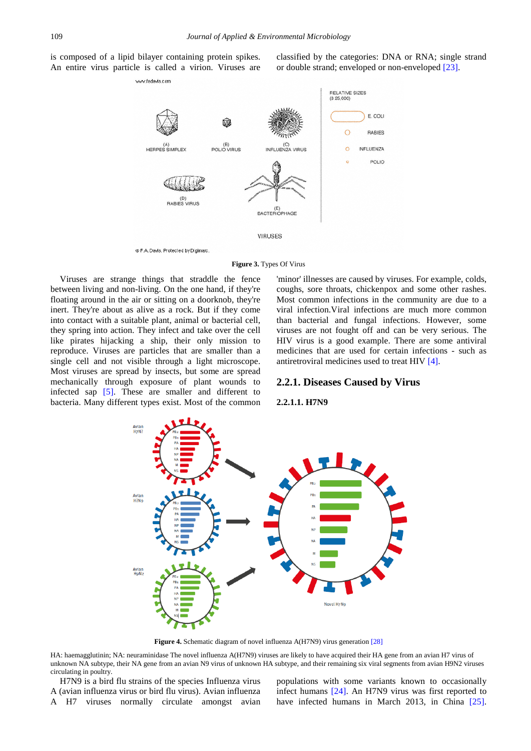is composed of a lipid bilayer containing protein spikes. An entire virus particle is called a virion. Viruses are classified by the categories: DNA or RNA; single strand or double strand; enveloped or non-enveloped [\[23\].](#page-8-15)



**Figure 3.** Types Of Virus

Viruses are strange things that straddle the fence between living and non-living. On the one hand, if they're floating around in the air or sitting on a doorknob, they're inert. They're about as alive as a rock. But if they come into contact with a suitable plant, animal or bacterial cell, they spring into action. They infect and take over the cell like pirates hijacking a ship, their only mission to reproduce. Viruses are particles that are smaller than a single cell and not visible through a light microscope. Most viruses are spread by insects, but some are spread mechanically through exposure of plant wounds to infected sap [\[5\].](#page-8-5) These are smaller and different to bacteria. Many different types exist. Most of the common

'minor' illnesses are caused by viruses. For example, colds, coughs, sore throats, chickenpox and some other rashes. Most common infections in the community are due to a viral infection.Viral infections are much more common than bacterial and fungal infections. However, some viruses are not fought off and can be very serious. The HIV virus is a good example. There are some antiviral medicines that are used for certain infections - such as antiretroviral medicines used to treat HI[V \[4\].](#page-8-4)

#### **2.2.1. Diseases Caused by Virus**

#### **2.2.1.1. H7N9**



**Figure 4.** Schematic diagram of novel influenza A(H7N9) virus generation [\[28\]](#page-8-16)

HA: haemagglutinin; NA: neuraminidase The novel influenza A(H7N9) viruses are likely to have acquired their HA gene from an avian H7 virus of unknown NA subtype, their NA gene from an avian N9 virus of unknown HA subtype, and their remaining six viral segments from avian H9N2 viruses circulating in poultry.

H7N9 is a bird flu strains of the species Influenza virus A (avian influenza virus or bird flu virus). Avian influenza A H7 viruses normally circulate amongst avian populations with some variants known to occasionally infect humans [\[24\].](#page-8-17) An H7N9 virus was first reported to have infected humans in March 2013, in China [\[25\].](#page-8-18)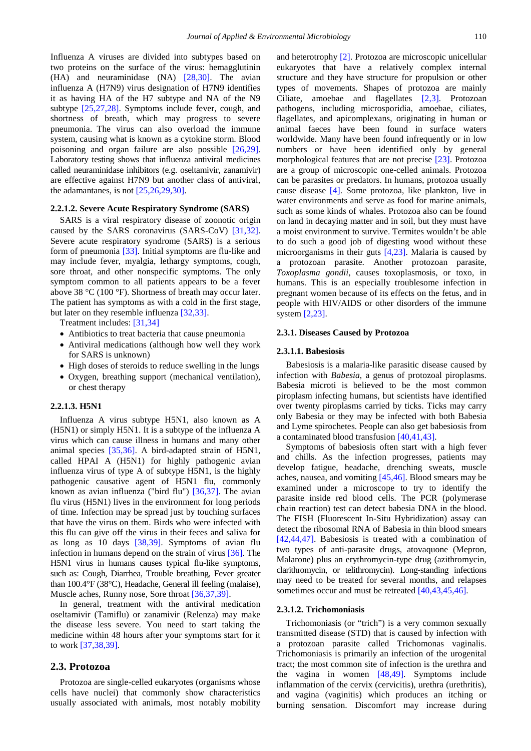Influenza A viruses are divided into subtypes based on two proteins on the surface of the virus: hemagglutinin (HA) and neuraminidase (NA) [\[28,30\].](#page-8-16) The avian influenza A (H7N9) virus designation of H7N9 identifies it as having HA of the H7 subtype and NA of the N9 subtype [\[25,27,28\].](#page-8-18) Symptoms include fever, cough, and shortness of breath, which may progress to severe pneumonia. The virus can also overload the immune system, causing what is known as a cytokine storm. Blood poisoning and organ failure are also possible [\[26,29\].](#page-8-19) Laboratory testing shows that influenza antiviral medicines called neuraminidase inhibitors (e.g. oseltamivir, zanamivir) are effective against H7N9 but another class of antiviral, the adamantanes, is not  $[25,26,29,30]$ .

#### **2.2.1.2. Severe Acute Respiratory Syndrome (SARS)**

SARS is a viral respiratory disease of zoonotic origin caused by the SARS coronavirus (SARS-CoV) [\[31,32\].](#page-8-20) Severe acute respiratory syndrome (SARS) is a serious form of pneumonia [\[33\].](#page-8-21) Initial symptoms are flu-like and may include fever, myalgia, lethargy symptoms, cough, sore throat, and other nonspecific symptoms. The only symptom common to all patients appears to be a fever above 38 °C (100 °F). Shortness of breath may occur later. The patient has symptoms as with a cold in the first stage, but later on they resemble influenza [\[32,33\].](#page-8-22)

Treatment includes: [\[31,34\]](#page-8-20)

- Antibiotics to treat bacteria that cause pneumonia
- Antiviral medications (although how well they work for SARS is unknown)
- High doses of steroids to reduce swelling in the lungs
- Oxygen, breathing support (mechanical ventilation), or chest therapy

#### **2.2.1.3. H5N1**

Influenza A virus subtype H5N1, also known as A (H5N1) or simply H5N1. It is a subtype of the influenza A virus which can cause illness in humans and many other animal species [\[35,36\].](#page-8-23) A bird-adapted strain of H5N1, called HPAI A (H5N1) for highly pathogenic avian influenza virus of type A of subtype H5N1, is the highly pathogenic causative agent of H5N1 flu, commonly known as avian influenza ("bird flu") [\[36,37\].](#page-8-24) The avian flu virus (H5N1) lives in the environment for long periods of time. Infection may be spread just by touching surfaces that have the virus on them. Birds who were infected with this flu can give off the virus in their feces and saliva for as long as 10 days [\[38,39\].](#page-8-25) Symptoms of avian flu infection in humans depend on the strain of virus [\[36\].](#page-8-24) The H5N1 virus in humans causes typical flu-like symptoms, such as: Cough, Diarrhea, Trouble breathing, Fever greater than 100.4°F (38°C), Headache, General ill feeling (malaise), Muscle aches, Runny nose, Sore throat [\[36,37,39\].](#page-8-24)

In general, treatment with the antiviral medication oseltamivir (Tamiflu) or zanamivir (Relenza) may make the disease less severe. You need to start taking the medicine within 48 hours after your symptoms start for it to work [\[37,38,39\].](#page-8-26)

#### **2.3. Protozoa**

Protozoa are single-celled eukaryotes (organisms whose cells have nuclei) that commonly show characteristics usually associated with animals, most notably mobility and heterotrophy [\[2\].](#page-8-2) Protozoa are microscopic unicellular eukaryotes that have a relatively complex internal structure and they have structure for propulsion or other types of movements. Shapes of protozoa are mainly Ciliate, amoebae and flagellates [\[2,3\].](#page-8-2) Protozoan pathogens, including microsporidia, amoebae, ciliates, flagellates, and apicomplexans, originating in human or animal faeces have been found in surface waters worldwide. Many have been found infrequently or in low numbers or have been identified only by general morphological features that are not precise [\[23\].](#page-8-15) Protozoa are a group of microscopic one-celled animals. Protozoa can be parasites or predators. In humans, protozoa usually cause disease [\[4\].](#page-8-4) Some protozoa, like plankton, live in water environments and serve as food for marine animals, such as some kinds of whales. Protozoa also can be found on land in decaying matter and in soil, but they must have a moist environment to survive. Termites wouldn't be able to do such a good job of digesting wood without these microorganisms in their guts [\[4,23\].](#page-8-4) Malaria is caused by a protozoan parasite. Another protozoan parasite, *Toxoplasma gondii*, causes toxoplasmosis, or toxo, in humans. This is an especially troublesome infection in pregnant women because of its effects on the fetus, and in people with HIV/AIDS or other disorders of the immune system [\[2,23\].](#page-8-2)

#### **2.3.1. Diseases Caused by Protozoa**

#### **2.3.1.1. Babesiosis**

Babesiosis is a malaria-like parasitic disease caused by infection with *Babesia*, a genus of protozoal piroplasms. Babesia microti is believed to be the most common piroplasm infecting humans, but scientists have identified over twenty piroplasms carried by ticks. Ticks may carry only Babesia or they may be infected with both Babesia and Lyme spirochetes. People can also get babesiosis from a contaminated blood transfusio[n \[40,41,43\].](#page-8-27)

Symptoms of babesiosis often start with a high fever and chills. As the infection progresses, patients may develop fatigue, headache, drenching sweats, muscle aches, nausea, and vomiting [\[45,46\].](#page-9-0) Blood smears may be examined under a microscope to try to identify the parasite inside red blood cells. The PCR (polymerase chain reaction) test can detect babesia DNA in the blood. The FISH (Fluorescent In-Situ Hybridization) assay can detect the ribosomal RNA of Babesia in thin blood smears [\[42,44,47\].](#page-8-28) Babesiosis is treated with a combination of two types of anti-parasite drugs, atovaquone (Mepron, Malarone) plus an erythromycin-type drug (azithromycin, clarithromycin, or telithromycin). Long-standing infections may need to be treated for several months, and relapses sometimes occur and must be retreate[d \[40,43,45,46\].](#page-8-27)

#### **2.3.1.2. Trichomoniasis**

Trichomoniasis (or "trich") is a very common sexually transmitted disease (STD) that is caused by infection with a protozoan parasite called Trichomonas vaginalis. Trichomoniasis is primarily an infection of the urogenital tract; the most common site of infection is the urethra and the vagina in women [\[48,49\].](#page-9-1) Symptoms include inflammation of the cervix (cervicitis), urethra (urethritis), and vagina (vaginitis) which produces an itching or burning sensation. Discomfort may increase during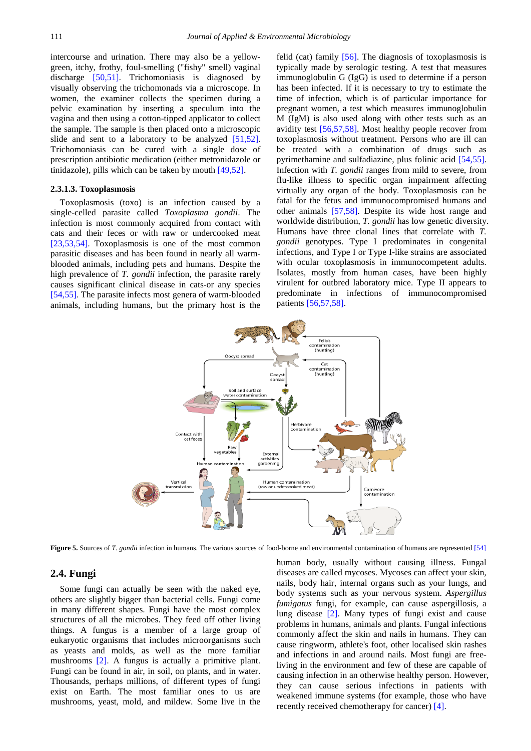intercourse and urination. There may also be a yellowgreen, itchy, frothy, foul-smelling ("fishy" smell) vaginal discharge [\[50,51\].](#page-9-2) Trichomoniasis is diagnosed by visually observing the trichomonads via a microscope. In women, the examiner collects the specimen during a pelvic examination by inserting a speculum into the vagina and then using a cotton-tipped applicator to collect the sample. The sample is then placed onto a microscopic slide and sent to a laboratory to be analyzed [\[51,52\].](#page-9-3) Trichomoniasis can be cured with a single dose of prescription antibiotic medication (either metronidazole or tinidazole), pills which can be taken by mouth [\[49,52\].](#page-9-4)

#### **2.3.1.3. Toxoplasmosis**

Toxoplasmosis (toxo) is an infection caused by a single-celled parasite called *Toxoplasma gondii*. The infection is most commonly acquired from contact with cats and their feces or with raw or undercooked meat [\[23,53,54\].](#page-8-15) Toxoplasmosis is one of the most common parasitic diseases and has been found in nearly all warmblooded animals, including pets and humans. Despite the high prevalence of *T. gondii* infection, the parasite rarely causes significant clinical disease in cats-or any species [\[54,55\].](#page-9-5) The parasite infects most genera of warm-blooded animals, including humans, but the primary host is the felid (cat) family [\[56\].](#page-9-6) The diagnosis of toxoplasmosis is typically made by serologic testing. A test that measures immunoglobulin G (IgG) is used to determine if a person has been infected. If it is necessary to try to estimate the time of infection, which is of particular importance for pregnant women, a test which measures immunoglobulin M (IgM) is also used along with other tests such as an avidity test [\[56,57,58\].](#page-9-6) Most healthy people recover from toxoplasmosis without treatment. Persons who are ill can be treated with a combination of drugs such as pyrimethamine and sulfadiazine, plus folinic acid [\[54,55\].](#page-9-5) Infection with *T. gondii* ranges from mild to severe, from flu-like illness to specific organ impairment affecting virtually any organ of the body. Toxoplasmosis can be fatal for the fetus and immunocompromised humans and other animals [\[57,58\].](#page-9-7) Despite its wide host range and worldwide distribution, *T. gondii* has low genetic diversity. Humans have three clonal lines that correlate with *T. gondii* genotypes. Type I predominates in congenital infections, and Type I or Type I-like strains are associated with ocular toxoplasmosis in immunocompetent adults. Isolates, mostly from human cases, have been highly virulent for outbred laboratory mice. Type II appears to predominate in infections of immunocompromised patients [\[56,57,58\].](#page-9-6)



**Figure 5.** Sources of *T. gondii* infection in humans. The various sources of food-borne and environmental contamination of humans are represented [\[54\]](#page-9-5)

#### **2.4. Fungi**

Some fungi can actually be seen with the naked eye, others are slightly bigger than bacterial cells. Fungi come in many different shapes. Fungi have the most complex structures of all the microbes. They feed off other living things. A fungus is a member of a large group of eukaryotic organisms that includes microorganisms such as yeasts and molds, as well as the more familiar mushrooms [\[2\].](#page-8-2) A fungus is actually a primitive plant. Fungi can be found in air, in soil, on plants, and in water. Thousands, perhaps millions, of different types of fungi exist on Earth. The most familiar ones to us are mushrooms, yeast, mold, and mildew. Some live in the

human body, usually without causing illness. Fungal diseases are called mycoses. Mycoses can affect your skin, nails, body hair, internal organs such as your lungs, and body systems such as your nervous system. *Aspergillus fumigatus* fungi, for example, can cause aspergillosis, a lung disease [\[2\].](#page-8-2) Many types of fungi exist and cause problems in humans, animals and plants. Fungal infections commonly affect the skin and nails in humans. They can cause ringworm, athlete's foot, other localised skin rashes and infections in and around nails. Most fungi are freeliving in the environment and few of these are capable of causing infection in an otherwise healthy person. However, they can cause serious infections in patients with weakened immune systems (for example, those who have recently received chemotherapy for cancer) [\[4\].](#page-8-4)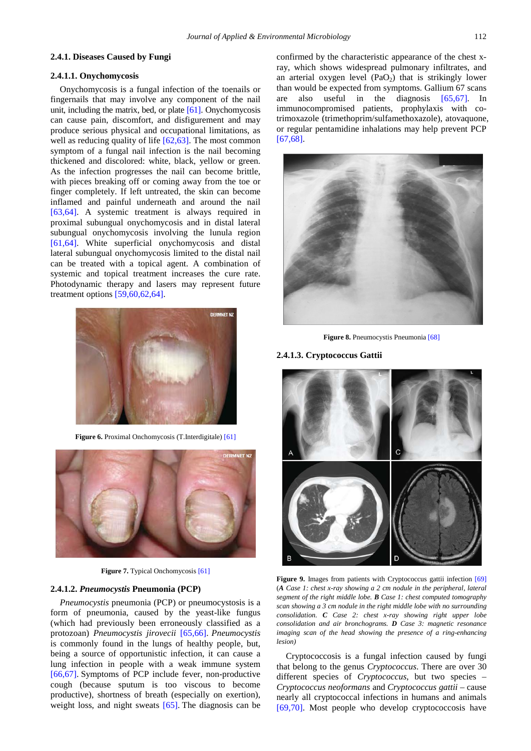#### **2.4.1. Diseases Caused by Fungi**

#### **2.4.1.1. Onychomycosis**

Onychomycosis is a fungal infection of the toenails or fingernails that may involve any component of the nail unit, including the matrix, bed, or plate [\[61\].](#page-9-8) Onychomycosis can cause pain, discomfort, and disfigurement and may produce serious physical and occupational limitations, as well as reducing quality of life [\[62,63\].](#page-9-9) The most common symptom of a fungal nail infection is the nail becoming thickened and discolored: white, black, yellow or green. As the infection progresses the nail can become brittle, with pieces breaking off or coming away from the toe or finger completely. If left untreated, the skin can become inflamed and painful underneath and around the nail [\[63,64\].](#page-9-10) A systemic treatment is always required in proximal subungual onychomycosis and in distal lateral subungual onychomycosis involving the lunula region [\[61,64\].](#page-9-8) White superficial onychomycosis and distal lateral subungual onychomycosis limited to the distal nail can be treated with a topical agent. A combination of systemic and topical treatment increases the cure rate. Photodynamic therapy and lasers may represent future treatment options [\[59,60,62,64\].](#page-9-11)



**Figure 6.** Proximal Onchomycosis (T.Interdigitale[\) \[61\]](#page-9-8)



**Figure 7.** Typical Onchomycosi[s \[61\]](#page-9-8)

#### **2.4.1.2.** *Pneumocystis* **Pneumonia (PCP)**

*Pneumocystis* pneumonia (PCP) or pneumocystosis is a form of pneumonia, caused by the yeast-like fungus (which had previously been erroneously classified as a protozoan) *Pneumocystis jirovecii* [\[65,66\].](#page-9-12) *Pneumocystis* is commonly found in the lungs of healthy people, but, being a source of opportunistic infection, it can cause a lung infection in people with a weak immune system [\[66,67\].](#page-9-13) Symptoms of PCP include fever, non-productive cough (because sputum is too viscous to become productive), shortness of breath (especially on exertion), weight loss, and night sweats [\[65\].](#page-9-12) The diagnosis can be

confirmed by the characteristic appearance of the chest xray, which shows widespread pulmonary infiltrates, and an arterial oxygen level  $(PaO<sub>2</sub>)$  that is strikingly lower than would be expected from symptoms. Gallium 67 scans are also useful in the diagnosis [\[65,67\].](#page-9-12) In immunocompromised patients, prophylaxis with cotrimoxazole (trimethoprim/sulfamethoxazole), atovaquone, or regular pentamidine inhalations may help prevent PCP [\[67,68\].](#page-9-14)



**Figure 8.** Pneumocystis Pneumonia [\[68\]](#page-9-15)

### **2.4.1.3. Cryptococcus Gattii**



Figure 9. Images from patients with Cryptococcus gattii infection [\[69\]](#page-9-16) (*A Case 1: chest x-ray showing a 2 cm nodule in the peripheral, lateral segment of the right middle lobe. B Case 1: chest computed tomography scan showing a 3 cm nodule in the right middle lobe with no surrounding consolidation. C Case 2: chest x-ray showing right upper lobe consolidation and air bronchograms. D Case 3: magnetic resonance imaging scan of the head showing the presence of a ring-enhancing lesion)*

Cryptococcosis is a fungal infection caused by fungi that belong to the genus *Cryptococcus*. There are over 30 different species of *Cryptococcus*, but two species – *Cryptococcus neoformans* and *Cryptococcus gattii* – cause nearly all cryptococcal infections in humans and animals [\[69,70\].](#page-9-16) Most people who develop cryptococcosis have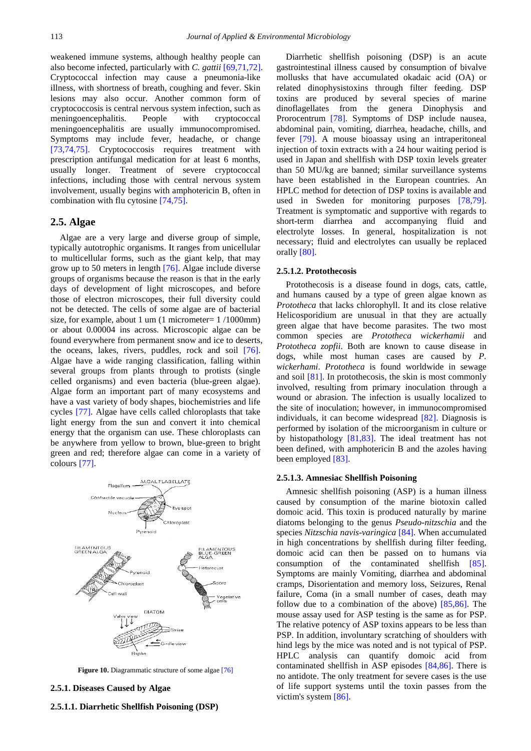weakened immune systems, although healthy people can also become infected, particularly with *C. gattii* [\[69,71,72\].](#page-9-16) Cryptococcal infection may cause a pneumonia-like illness, with shortness of breath, coughing and fever. Skin lesions may also occur. Another common form of cryptococcosis is central nervous system infection, such as meningoencephalitis. People with cryptococcal meningoencephalitis are usually immunocompromised. Symptoms may include fever, headache, or change [\[73,74,75\].](#page-9-17) Cryptococcosis requires treatment with prescription antifungal medication for at least 6 months, usually longer. Treatment of severe cryptococcal infections, including those with central nervous system involvement, usually begins with amphotericin B, often in combination with flu cytosine [\[74,75\].](#page-9-18)

#### **2.5. Algae**

Algae are a very large and diverse group of simple, typically autotrophic organisms. It ranges from unicellular to multicellular forms, such as the giant kelp, that may grow up to 50 meters in length [\[76\].](#page-9-19) Algae include diverse groups of organisms because the reason is that in the early days of development of light microscopes, and before those of electron microscopes, their full diversity could not be detected. The cells of some algae are of bacterial size, for example, about 1 um (1 micrometer=  $1/1000$ mm) or about 0.00004 ins across. Microscopic algae can be found everywhere from permanent snow and ice to deserts, the oceans, lakes, rivers, puddles, rock and soil [\[76\].](#page-9-19) Algae have a wide ranging classification, falling within several groups from plants through to protists (single celled organisms) and even bacteria (blue-green algae). Algae form an important part of many ecosystems and have a vast variety of body shapes, biochemistries and life cycles [\[77\].](#page-9-20) Algae have cells called chloroplasts that take light energy from the sun and convert it into chemical energy that the organism can use. These chloroplasts can be anywhere from yellow to brown, blue-green to bright green and red; therefore algae can come in a variety of colour[s \[77\].](#page-9-20)



**Figure 10.** Diagrammatic structure of some alga[e \[76\]](#page-9-19)

## **2.5.1. Diseases Caused by Algae**

# **2.5.1.1. Diarrhetic Shellfish Poisoning (DSP)**

Diarrhetic shellfish poisoning (DSP) is an acute gastrointestinal illness caused by consumption of bivalve mollusks that have accumulated okadaic acid (OA) or related dinophysistoxins through filter feeding. DSP toxins are produced by several species of marine dinoflagellates from the genera Dinophysis and Prorocentrum [\[78\].](#page-9-21) Symptoms of DSP include nausea, abdominal pain, vomiting, diarrhea, headache, chills, and fever [\[79\].](#page-9-22) A mouse bioassay using an intraperitoneal injection of toxin extracts with a 24 hour waiting period is used in Japan and shellfish with DSP toxin levels greater than 50 MU/kg are banned; similar surveillance systems have been established in the European countries. An HPLC method for detection of DSP toxins is available and used in Sweden for monitoring purposes [\[78,79\].](#page-9-21) Treatment is symptomatic and supportive with regards to short-term diarrhea and accompanying fluid and electrolyte losses. In general, hospitalization is not necessary; fluid and electrolytes can usually be replaced orally [\[80\].](#page-9-23)

#### **2.5.1.2. Protothecosis**

Protothecosis is a disease found in dogs, cats, cattle, and humans caused by a type of green algae known as *Prototheca* that lacks chlorophyll. It and its close relative Helicosporidium are unusual in that they are actually green algae that have become parasites. The two most common species are *Prototheca wickerhamii* and *Prototheca zopfii*. Both are known to cause disease in dogs, while most human cases are caused by *P. wickerhami*. *Prototheca* is found worldwide in sewage and soil [\[81\].](#page-9-24) In protothecosis, the skin is most commonly involved, resulting from primary inoculation through a wound or abrasion. The infection is usually localized to the site of inoculation; however, in immunocompromised individuals, it can become widespread [\[82\].](#page-9-25) Diagnosis is performed by isolation of the microorganism in culture or by histopathology [\[81,83\].](#page-9-24) The ideal treatment has not been defined, with amphotericin B and the azoles having been employed [\[83\].](#page-9-26)

#### **2.5.1.3. Amnesiac Shellfish Poisoning**

Amnesic shellfish poisoning (ASP) is a human illness caused by consumption of the marine biotoxin called domoic acid. This toxin is produced naturally by marine diatoms belonging to the genus *Pseudo-nitzschia* and the species *Nitzschia navis-varingica* [\[84\].](#page-9-27) When accumulated in high concentrations by shellfish during filter feeding, domoic acid can then be passed on to humans via consumption of the contaminated shellfish [\[85\].](#page-9-28) Symptoms are mainly Vomiting, diarrhea and abdominal cramps, Disorientation and memory loss, Seizures, Renal failure, Coma (in a small number of cases, death may follow due to a combination of the above) [\[85,86\].](#page-9-28) The mouse assay used for ASP testing is the same as for PSP. The relative potency of ASP toxins appears to be less than PSP. In addition, involuntary scratching of shoulders with hind legs by the mice was noted and is not typical of PSP. HPLC analysis can quantify domoic acid from contaminated shellfish in ASP episodes [\[84,86\].](#page-9-27) There is no antidote. The only treatment for severe cases is the use of life support systems until the toxin passes from the victim's system [\[86\].](#page-9-29)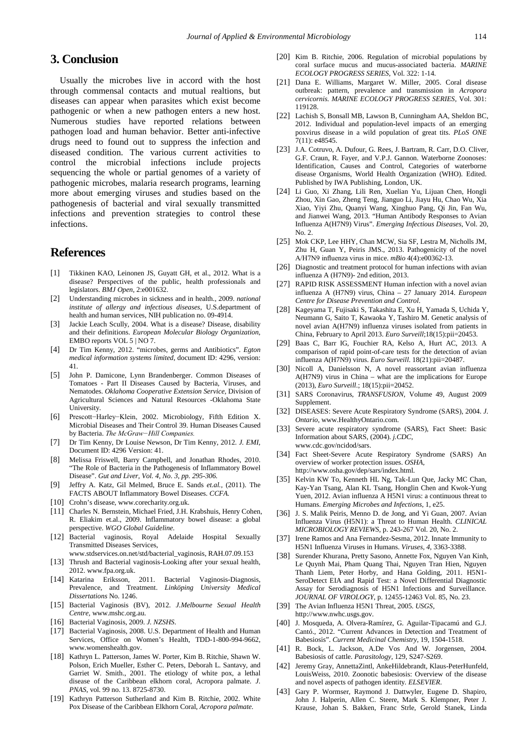# **3. Conclusion**

Usually the microbes live in accord with the host through commensal contacts and mutual realtions, but diseases can appear when parasites which exist become pathogenic or when a new pathogen enters a new host. Numerous studies have reported relations between pathogen load and human behavior. Better anti-infective drugs need to found out to suppress the infection and diseased condition. The various current activities to control the microbial infections include projects sequencing the whole or partial genomes of a variety of pathogenic microbes, malaria research programs, learning more about emerging viruses and studies based on the pathogenesis of bacterial and viral sexually transmitted infections and prevention strategies to control these infections.

# **References**

- <span id="page-8-0"></span>[1] Tikkinen KAO, Leinonen JS, Guyatt GH, et al., 2012. What is a disease? Perspectives of the public, health professionals and legislators. *BMJ Open*, 2:e001632.
- <span id="page-8-2"></span>[2] Understanding microbes in sickness and in health., 2009. *national institute of allergy and infectious diseases*, U.S.department of health and human services, NIH publication no. 09-4914.
- <span id="page-8-1"></span>[3] Jackie Leach Scully, 2004. What is a disease? Disease, disability and their definitions. *European Molecular Biology Organization*, EMBO reports VOL  $5 \mid NO$  7.
- <span id="page-8-4"></span>[4] Dr Tim Kenny, 2012. "microbes, germs and Antibiotics". *Egton medical information systems limited*, document ID: 4296, version: 41.
- <span id="page-8-5"></span>[5] John P. Damicone, Lynn Brandenberger. Common Diseases of Tomatoes - Part II Diseases Caused by Bacteria, Viruses, and Nematodes. *Oklahoma Cooperative Extension Service,* Division of Agricultural Sciences and Natural Resources -Oklahoma State University.
- <span id="page-8-3"></span>[6] Prescott−Harley−Klein, 2002. Microbiology, Fifth Edition X. Microbial Diseases and Their Control 39. Human Diseases Caused by Bacteria. *The McGraw−Hill Companies.*
- <span id="page-8-6"></span>[7] Dr Tim Kenny, Dr Louise Newson, Dr Tim Kenny, 2012. *J. EMI*, Document ID: 4296 Version: 41.
- <span id="page-8-7"></span>[8] Melissa Friswell, Barry Campbell, and Jonathan Rhodes, 2010. "The Role of Bacteria in the Pathogenesis of Inflammatory Bowel Disease". *Gut and Liver, Vol. 4, No. 3, pp. 295-306.*
- <span id="page-8-8"></span>[9] Jeffry A. Katz, Gil Melmed, Bruce E. Sands *et.al.,* (2011). The FACTS ABOUT Inflammatory Bowel Diseases. *CCFA.*
- [10] Crohn's disease, www.corecharity.org.uk.
- [11] Charles N. Bernstein, Michael Fried, J.H. Krabshuis, Henry Cohen, R. Eliakim et.al., 2009. Inflammatory bowel disease: a global perspective. *WGO Global Guideline.*
- <span id="page-8-9"></span>[12] Bacterial vaginosis, Royal Adelaide Hospital Sexually Transmitted Diseases Services,
- www.stdservices.on.net/std/bacterial\_vaginosis, RAH.07.09.153
- [13] Thrush and Bacterial vaginosis-Looking after your sexual health, 2012. www.fpa.org.uk.
- <span id="page-8-10"></span>[14] Katarina Eriksson, 2011. Bacterial Vaginosis-Diagnosis, Prevalence, and Treatment. *Linköping University Medical Dissertations* No. 1246.
- [15] Bacterial Vaginosis (BV), 2012. *J.Melbourne Sexual Health Centre,* www.mshc.org.au.
- [16] Bacterial Vaginosis, 2009. *J. NZSHS*.
- [17] Bacterial Vaginosis, 2008. U.S. Department of Health and Human Services, Office on Women's Health, TDD-1-800-994-9662, www.womenshealth.gov.
- <span id="page-8-11"></span>[18] Kathryn L. Patterson, James W. Porter, Kim B. Ritchie, Shawn W. Polson, Erich Mueller, Esther C. Peters, Deborah L. Santavy, and Garriet W. Smith., 2001. The etiology of white pox, a lethal disease of the Caribbean elkhorn coral, Acropora palmate. *J. PNAS*, vol. 99 no. 13. 8725-8730.
- <span id="page-8-12"></span>[19] Kathryn Patterson Sutherland and Kim B. Ritchie, 2002. White Pox Disease of the Caribbean Elkhorn Coral, *Acropora palmate.*
- <span id="page-8-13"></span>[20] Kim B. Ritchie, 2006. Regulation of microbial populations by coral surface mucus and mucus-associated bacteria. *MARINE ECOLOGY PROGRESS SERIES*, Vol. 322: 1-14.
- <span id="page-8-14"></span>[21] Dana E. Williams, Margaret W. Miller, 2005. Coral disease outbreak: pattern, prevalence and transmission in *Acropora cervicornis. MARINE ECOLOGY PROGRESS SERIES*, Vol. 301: 119128.
- [22] Lachish S, Bonsall MB, Lawson B, Cunningham AA, Sheldon BC, 2012. Individual and population-level impacts of an emerging poxvirus disease in a wild population of great tits. *PLoS ONE* 7(11): e48545.
- <span id="page-8-15"></span>[23] J.A. Cotruvo, A. Dufour, G. Rees, J. Bartram, R. Carr, D.O. Cliver, G.F. Craun, R. Fayer, and V.P.J. Gannon. Waterborne Zoonoses: Identification, Causes and Control, Categories of waterborne disease Organisms, World Health Organization (WHO). Edited. Published by IWA Publishing, London, UK.
- <span id="page-8-17"></span>[24] Li Guo, Xi Zhang, Lili Ren, Xuelian Yu, Lijuan Chen, Hongli Zhou, Xin Gao, Zheng Teng, Jianguo Li, Jiayu Hu, Chao Wu, Xia Xiao, Yiyi Zhu, Quanyi Wang, Xinghuo Pang, Qi Jin, Fan Wu, and Jianwei Wang, 2013. "Human Antibody Responses to Avian Influenza A(H7N9) Virus". *Emerging Infectious Diseases*, Vol. 20, No. 2.
- <span id="page-8-18"></span>[25] Mok CKP, Lee HHY, Chan MCW, Sia SF, Lestra M, Nicholls JM, Zhu H, Guan Y, Peiris JMS., 2013. Pathogenicity of the novel A/H7N9 influenza virus in mice. *mBio* 4(4):e00362-13.
- <span id="page-8-19"></span>[26] Diagnostic and treatment protocol for human infections with avian influenza A (H7N9)- 2nd edition, 2013.
- [27] RAPID RISK ASSESSMENT Human infection with a novel avian influenza A (H7N9) virus, China – 27 January 2014. *European Centre for Disease Prevention and Control.*
- <span id="page-8-16"></span>[28] Kageyama T, Fujisaki S, Takashita E, Xu H, Yamada S, Uchida Y, Neumann G, Saito T, Kawaoka Y, Tashiro M. Genetic analysis of novel avian A(H7N9) influenza viruses isolated from patients in China, February to April 2013. *Euro Surveill*;18(15):pii=20453.
- [29] Baas C, Barr IG, Fouchier RA, Kelso A, Hurt AC, 2013. A comparison of rapid point-of-care tests for the detection of avian influenza A(H7N9) virus. *Euro Surveill*. 18(21):pii=20487.
- [30] Nicoll A, Danielsson N, A novel reassortant avian influenza A(H7N9) virus in China – what are the implications for Europe (2013), *Euro Surveill*.; 18(15):pii=20452.
- <span id="page-8-20"></span>[31] SARS Coronavirus, *TRANSFUSION*, Volume 49, August 2009 Supplement.
- <span id="page-8-22"></span>[32] DISEASES: Severe Acute Respiratory Syndrome (SARS), 2004. *J. Ontario*, www.HealthyOntario.com.
- <span id="page-8-21"></span>[33] Severe acute respiratory syndrome (SARS), Fact Sheet: Basic Information about SARS, (2004). *j.CDC*, www.cdc.gov/ncidod/sars.
- [34] Fact Sheet-Severe Acute Respiratory Syndrome (SARS) An overview of worker protection issues. *OSHA*, http://www.osha.gov/dep/sars/index.html.
- <span id="page-8-23"></span>[35] Kelvin KW To, Kenneth HL Ng, Tak-Lun Que, Jacky MC Chan, Kay-Yan Tsang, Alan KL Tsang, Honglin Chen and Kwok-Yung Yuen, 2012. Avian influenza A H5N1 virus: a continuous threat to Humans. *Emerging Microbes and Infections*, 1, e25.
- <span id="page-8-24"></span>[36] J. S. Malik Peiris, Menno D. de Jong, and Yi Guan, 2007. Avian Influenza Virus (H5N1): a Threat to Human Health*. CLINICAL MICROBIOLOGY REVIEWS*, p. 243-267 Vol. 20, No. 2.
- <span id="page-8-26"></span>[37] Irene Ramos and Ana Fernandez-Sesma, 2012. Innate Immunity to H5N1 Influenza Viruses in Humans. *Viruses, 4*, 3363-3388.
- <span id="page-8-25"></span>[38] Surender Khurana, Pretty Sasono, Annette Fox, Nguyen Van Kinh, Le Quynh Mai, Pham Quang Thai, Nguyen Tran Hien, Nguyen Thanh Liem, Peter Horby, and Hana Golding, 2011. H5N1- SeroDetect EIA and Rapid Test: a Novel Differential Diagnostic Assay for Serodiagnosis of H5N1 Infections and Surveillance*. JOURNAL OF VIROLOGY*, p. 12455-12463 Vol. 85, No. 23.
- [39] The Avian Influenza H5N1 Threat, 2005. *USGS*, http://www.nwhc.usgs.gov.
- <span id="page-8-27"></span>[40] J. Mosqueda, A. Olvera-Ramírez, G. Aguilar-Tipacamú and G.J. Cantó., 2012. "Current Advances in Detection and Treatment of Babesiosis". *Current Medicinal Chemistry*, 19, 1504-1518.
- [41] R. Bock, L. Jackson, A.De Vos And W. Jorgensen, 2004. Babesiosis of cattle. *Parasitology*, 129, S247-S269.
- <span id="page-8-28"></span>[42] Jeremy Gray, AnnettaZintl, AnkeHildebrandt, Klaus-PeterHunfeld, LouisWeiss, 2010. Zoonotic babesiosis: Overview of the disease and novel aspects of pathogen identity*. ELSEVIER*.
- [43] Gary P. Wormser, Raymond J. Dattwyler, Eugene D. Shapiro, John J. Halperin, Allen C. Steere, Mark S. Klempner, Peter J. Krause, Johan S. Bakken, Franc Strle, Gerold Stanek, Linda